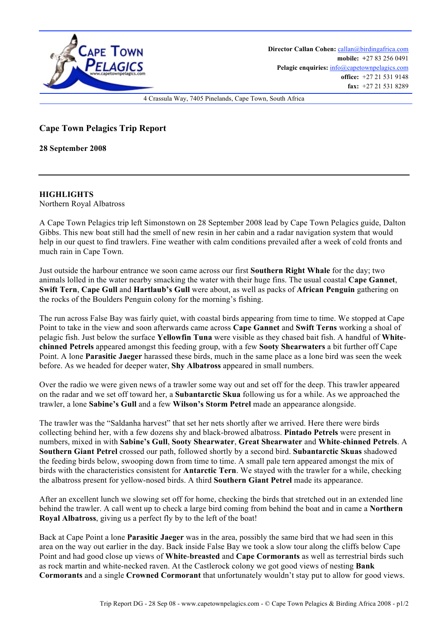

## **Cape Town Pelagics Trip Report**

**28 September 2008**

## **HIGHLIGHTS**

Northern Royal Albatross

A Cape Town Pelagics trip left Simonstown on 28 September 2008 lead by Cape Town Pelagics guide, Dalton Gibbs. This new boat still had the smell of new resin in her cabin and a radar navigation system that would help in our quest to find trawlers. Fine weather with calm conditions prevailed after a week of cold fronts and much rain in Cape Town.

Just outside the harbour entrance we soon came across our first **Southern Right Whale** for the day; two animals lolled in the water nearby smacking the water with their huge fins. The usual coastal **Cape Gannet**, **Swift Tern**, **Cape Gull** and **Hartlaub's Gull** were about, as well as packs of **African Penguin** gathering on the rocks of the Boulders Penguin colony for the morning's fishing.

The run across False Bay was fairly quiet, with coastal birds appearing from time to time. We stopped at Cape Point to take in the view and soon afterwards came across **Cape Gannet** and **Swift Terns** working a shoal of pelagic fish. Just below the surface **Yellowfin Tuna** were visible as they chased bait fish. A handful of **Whitechinned Petrels** appeared amongst this feeding group, with a few **Sooty Shearwaters** a bit further off Cape Point. A lone **Parasitic Jaeger** harassed these birds, much in the same place as a lone bird was seen the week before. As we headed for deeper water, **Shy Albatross** appeared in small numbers.

Over the radio we were given news of a trawler some way out and set off for the deep. This trawler appeared on the radar and we set off toward her, a **Subantarctic Skua** following us for a while. As we approached the trawler, a lone **Sabine's Gull** and a few **Wilson's Storm Petrel** made an appearance alongside.

The trawler was the "Saldanha harvest" that set her nets shortly after we arrived. Here there were birds collecting behind her, with a few dozens shy and black-browed albatross. **Pintado Petrels** were present in numbers, mixed in with **Sabine's Gull**, **Sooty Shearwater**, **Great Shearwater** and **White**-**chinned Petrels**. A **Southern Giant Petrel** crossed our path, followed shortly by a second bird. **Subantarctic Skuas** shadowed the feeding birds below, swooping down from time to time. A small pale tern appeared amongst the mix of birds with the characteristics consistent for **Antarctic Tern**. We stayed with the trawler for a while, checking the albatross present for yellow-nosed birds. A third **Southern Giant Petrel** made its appearance.

After an excellent lunch we slowing set off for home, checking the birds that stretched out in an extended line behind the trawler. A call went up to check a large bird coming from behind the boat and in came a **Northern Royal Albatross**, giving us a perfect fly by to the left of the boat!

Back at Cape Point a lone **Parasitic Jaeger** was in the area, possibly the same bird that we had seen in this area on the way out earlier in the day. Back inside False Bay we took a slow tour along the cliffs below Cape Point and had good close up views of **White**-**breasted** and **Cape Cormorants** as well as terrestrial birds such as rock martin and white-necked raven. At the Castlerock colony we got good views of nesting **Bank Cormorants** and a single **Crowned Cormorant** that unfortunately wouldn't stay put to allow for good views.